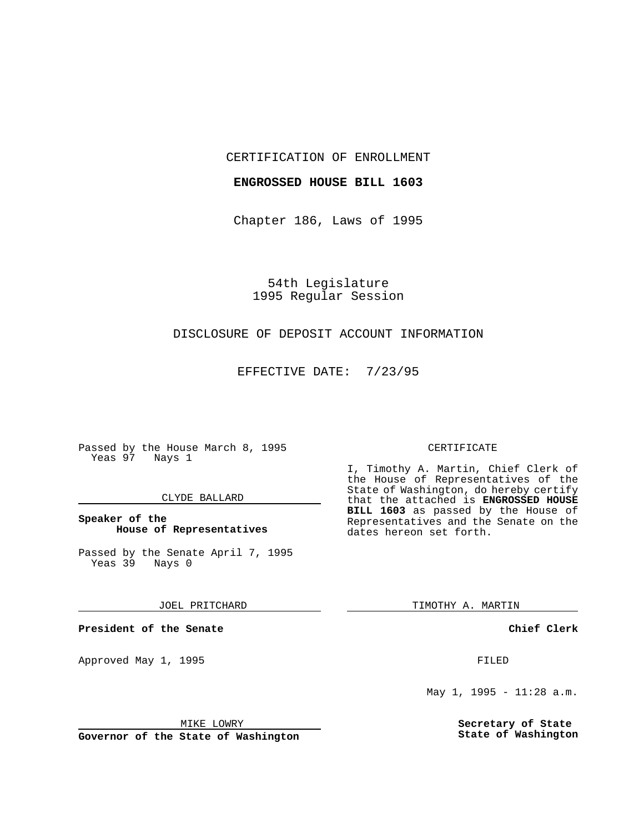CERTIFICATION OF ENROLLMENT

# **ENGROSSED HOUSE BILL 1603**

Chapter 186, Laws of 1995

54th Legislature 1995 Regular Session

# DISCLOSURE OF DEPOSIT ACCOUNT INFORMATION

EFFECTIVE DATE: 7/23/95

Passed by the House March 8, 1995 Yeas 97 Nays 1

### CLYDE BALLARD

# **Speaker of the House of Representatives**

Passed by the Senate April 7, 1995 Yeas 39 Nays 0

JOEL PRITCHARD

**President of the Senate**

Approved May 1, 1995 **FILED** 

## MIKE LOWRY

**Governor of the State of Washington**

### CERTIFICATE

I, Timothy A. Martin, Chief Clerk of the House of Representatives of the State of Washington, do hereby certify that the attached is **ENGROSSED HOUSE BILL 1603** as passed by the House of Representatives and the Senate on the dates hereon set forth.

TIMOTHY A. MARTIN

**Chief Clerk**

May 1, 1995 - 11:28 a.m.

**Secretary of State State of Washington**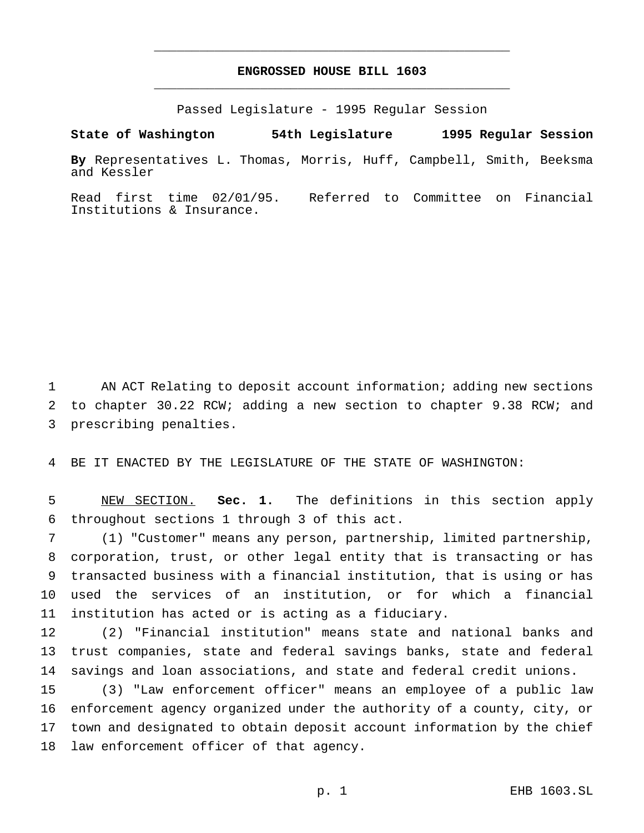# **ENGROSSED HOUSE BILL 1603** \_\_\_\_\_\_\_\_\_\_\_\_\_\_\_\_\_\_\_\_\_\_\_\_\_\_\_\_\_\_\_\_\_\_\_\_\_\_\_\_\_\_\_\_\_\_\_

\_\_\_\_\_\_\_\_\_\_\_\_\_\_\_\_\_\_\_\_\_\_\_\_\_\_\_\_\_\_\_\_\_\_\_\_\_\_\_\_\_\_\_\_\_\_\_

Passed Legislature - 1995 Regular Session

**State of Washington 54th Legislature 1995 Regular Session**

**By** Representatives L. Thomas, Morris, Huff, Campbell, Smith, Beeksma and Kessler

Read first time 02/01/95. Referred to Committee on Financial Institutions & Insurance.

 AN ACT Relating to deposit account information; adding new sections to chapter 30.22 RCW; adding a new section to chapter 9.38 RCW; and prescribing penalties.

BE IT ENACTED BY THE LEGISLATURE OF THE STATE OF WASHINGTON:

 NEW SECTION. **Sec. 1.** The definitions in this section apply throughout sections 1 through 3 of this act.

 (1) "Customer" means any person, partnership, limited partnership, corporation, trust, or other legal entity that is transacting or has transacted business with a financial institution, that is using or has used the services of an institution, or for which a financial institution has acted or is acting as a fiduciary.

 (2) "Financial institution" means state and national banks and trust companies, state and federal savings banks, state and federal savings and loan associations, and state and federal credit unions.

 (3) "Law enforcement officer" means an employee of a public law enforcement agency organized under the authority of a county, city, or town and designated to obtain deposit account information by the chief law enforcement officer of that agency.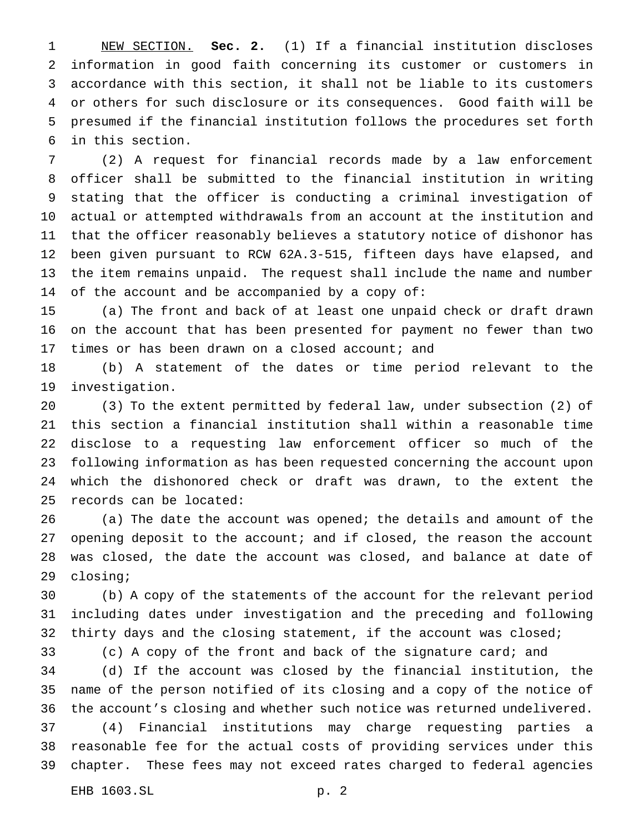NEW SECTION. **Sec. 2.** (1) If a financial institution discloses information in good faith concerning its customer or customers in accordance with this section, it shall not be liable to its customers or others for such disclosure or its consequences. Good faith will be presumed if the financial institution follows the procedures set forth in this section.

 (2) A request for financial records made by a law enforcement officer shall be submitted to the financial institution in writing stating that the officer is conducting a criminal investigation of actual or attempted withdrawals from an account at the institution and that the officer reasonably believes a statutory notice of dishonor has been given pursuant to RCW 62A.3-515, fifteen days have elapsed, and the item remains unpaid. The request shall include the name and number of the account and be accompanied by a copy of:

 (a) The front and back of at least one unpaid check or draft drawn on the account that has been presented for payment no fewer than two times or has been drawn on a closed account; and

 (b) A statement of the dates or time period relevant to the investigation.

 (3) To the extent permitted by federal law, under subsection (2) of this section a financial institution shall within a reasonable time disclose to a requesting law enforcement officer so much of the following information as has been requested concerning the account upon which the dishonored check or draft was drawn, to the extent the records can be located:

 (a) The date the account was opened; the details and amount of the opening deposit to the account; and if closed, the reason the account was closed, the date the account was closed, and balance at date of closing;

 (b) A copy of the statements of the account for the relevant period including dates under investigation and the preceding and following 32 thirty days and the closing statement, if the account was closed;

(c) A copy of the front and back of the signature card; and

 (d) If the account was closed by the financial institution, the name of the person notified of its closing and a copy of the notice of the account's closing and whether such notice was returned undelivered. (4) Financial institutions may charge requesting parties a

 reasonable fee for the actual costs of providing services under this chapter. These fees may not exceed rates charged to federal agencies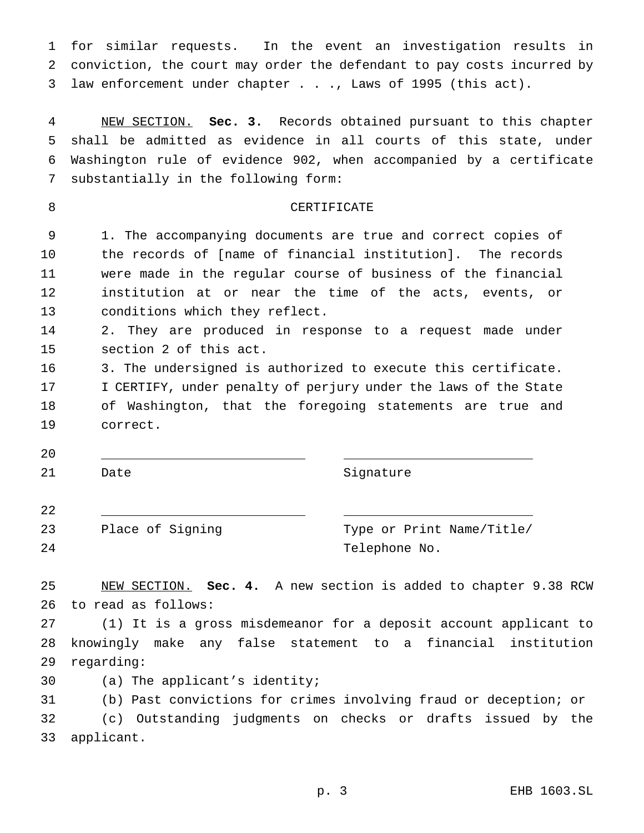for similar requests. In the event an investigation results in conviction, the court may order the defendant to pay costs incurred by law enforcement under chapter . . ., Laws of 1995 (this act).

 NEW SECTION. **Sec. 3.** Records obtained pursuant to this chapter shall be admitted as evidence in all courts of this state, under Washington rule of evidence 902, when accompanied by a certificate substantially in the following form:

# 8 CERTIFICATE

 1. The accompanying documents are true and correct copies of the records of [name of financial institution]. The records were made in the regular course of business of the financial institution at or near the time of the acts, events, or conditions which they reflect.

 2. They are produced in response to a request made under section 2 of this act.

 3. The undersigned is authorized to execute this certificate. I CERTIFY, under penalty of perjury under the laws of the State of Washington, that the foregoing statements are true and correct.

21 Date Signature

| 22 |                  |                           |
|----|------------------|---------------------------|
| 23 | Place of Signing | Type or Print Name/Title/ |
| 24 |                  | Telephone No.             |

 NEW SECTION. **Sec. 4.** A new section is added to chapter 9.38 RCW to read as follows:

 (1) It is a gross misdemeanor for a deposit account applicant to knowingly make any false statement to a financial institution regarding:

(a) The applicant's identity;

 (b) Past convictions for crimes involving fraud or deception; or (c) Outstanding judgments on checks or drafts issued by the applicant.